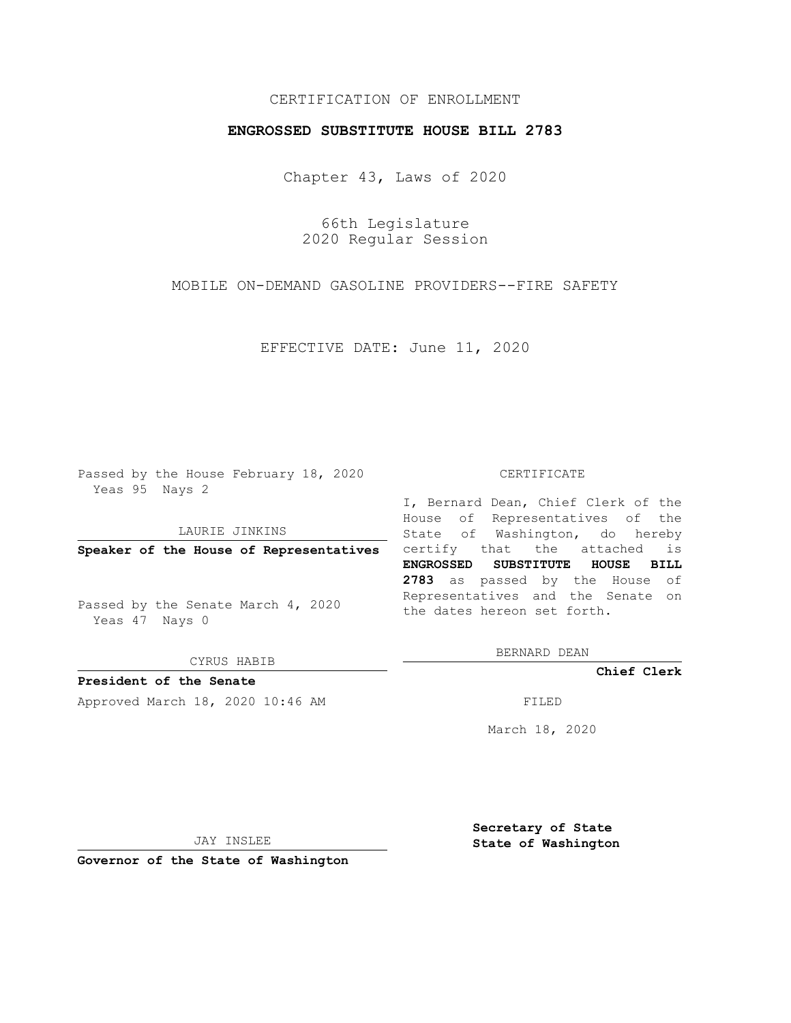## CERTIFICATION OF ENROLLMENT

## **ENGROSSED SUBSTITUTE HOUSE BILL 2783**

Chapter 43, Laws of 2020

66th Legislature 2020 Regular Session

MOBILE ON-DEMAND GASOLINE PROVIDERS--FIRE SAFETY

EFFECTIVE DATE: June 11, 2020

Passed by the House February 18, 2020 Yeas 95 Nays 2

LAURIE JINKINS

Passed by the Senate March 4, 2020 Yeas 47 Nays 0

CYRUS HABIB

**President of the Senate**

Approved March 18, 2020 10:46 AM FILED

## CERTIFICATE

**Speaker of the House of Representatives** certify that the attached is I, Bernard Dean, Chief Clerk of the House of Representatives of the State of Washington, do hereby **ENGROSSED SUBSTITUTE HOUSE BILL 2783** as passed by the House of Representatives and the Senate on the dates hereon set forth.

BERNARD DEAN

**Chief Clerk**

March 18, 2020

JAY INSLEE

**Governor of the State of Washington**

**Secretary of State State of Washington**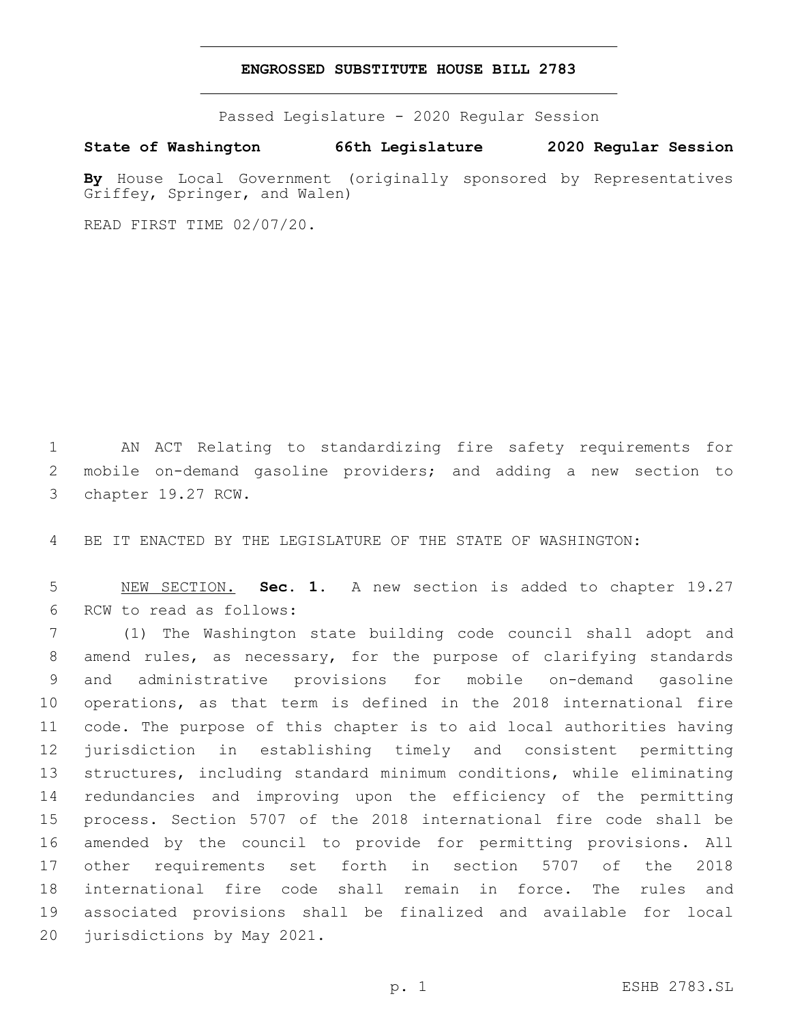## **ENGROSSED SUBSTITUTE HOUSE BILL 2783**

Passed Legislature - 2020 Regular Session

**State of Washington 66th Legislature 2020 Regular Session**

**By** House Local Government (originally sponsored by Representatives Griffey, Springer, and Walen)

READ FIRST TIME 02/07/20.

 AN ACT Relating to standardizing fire safety requirements for mobile on-demand gasoline providers; and adding a new section to 3 chapter 19.27 RCW.

BE IT ENACTED BY THE LEGISLATURE OF THE STATE OF WASHINGTON:

 NEW SECTION. **Sec. 1.** A new section is added to chapter 19.27 6 RCW to read as follows:

 (1) The Washington state building code council shall adopt and amend rules, as necessary, for the purpose of clarifying standards and administrative provisions for mobile on-demand gasoline operations, as that term is defined in the 2018 international fire code. The purpose of this chapter is to aid local authorities having jurisdiction in establishing timely and consistent permitting structures, including standard minimum conditions, while eliminating redundancies and improving upon the efficiency of the permitting process. Section 5707 of the 2018 international fire code shall be amended by the council to provide for permitting provisions. All other requirements set forth in section 5707 of the 2018 international fire code shall remain in force. The rules and associated provisions shall be finalized and available for local 20 jurisdictions by May 2021.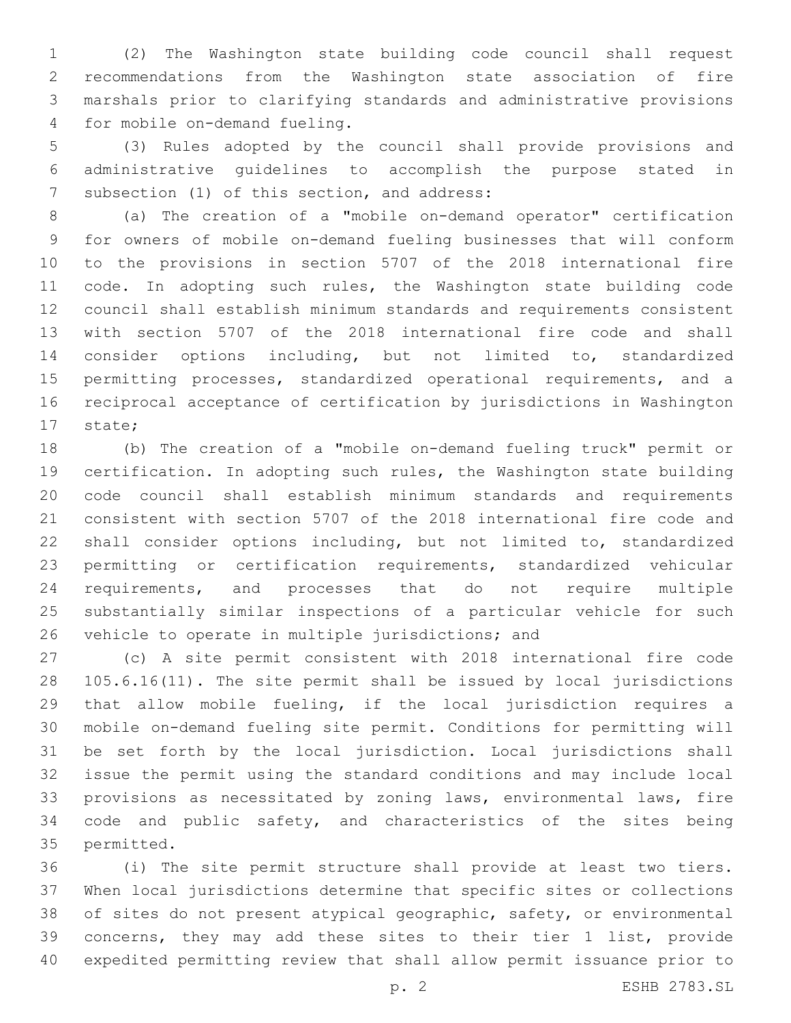(2) The Washington state building code council shall request recommendations from the Washington state association of fire marshals prior to clarifying standards and administrative provisions 4 for mobile on-demand fueling.

 (3) Rules adopted by the council shall provide provisions and administrative guidelines to accomplish the purpose stated in 7 subsection (1) of this section, and address:

 (a) The creation of a "mobile on-demand operator" certification for owners of mobile on-demand fueling businesses that will conform to the provisions in section 5707 of the 2018 international fire 11 code. In adopting such rules, the Washington state building code council shall establish minimum standards and requirements consistent with section 5707 of the 2018 international fire code and shall consider options including, but not limited to, standardized permitting processes, standardized operational requirements, and a reciprocal acceptance of certification by jurisdictions in Washington 17 state;

 (b) The creation of a "mobile on-demand fueling truck" permit or certification. In adopting such rules, the Washington state building code council shall establish minimum standards and requirements consistent with section 5707 of the 2018 international fire code and shall consider options including, but not limited to, standardized permitting or certification requirements, standardized vehicular requirements, and processes that do not require multiple substantially similar inspections of a particular vehicle for such 26 vehicle to operate in multiple jurisdictions; and

 (c) A site permit consistent with 2018 international fire code 105.6.16(11). The site permit shall be issued by local jurisdictions that allow mobile fueling, if the local jurisdiction requires a mobile on-demand fueling site permit. Conditions for permitting will be set forth by the local jurisdiction. Local jurisdictions shall issue the permit using the standard conditions and may include local provisions as necessitated by zoning laws, environmental laws, fire code and public safety, and characteristics of the sites being 35 permitted.

 (i) The site permit structure shall provide at least two tiers. When local jurisdictions determine that specific sites or collections of sites do not present atypical geographic, safety, or environmental concerns, they may add these sites to their tier 1 list, provide expedited permitting review that shall allow permit issuance prior to